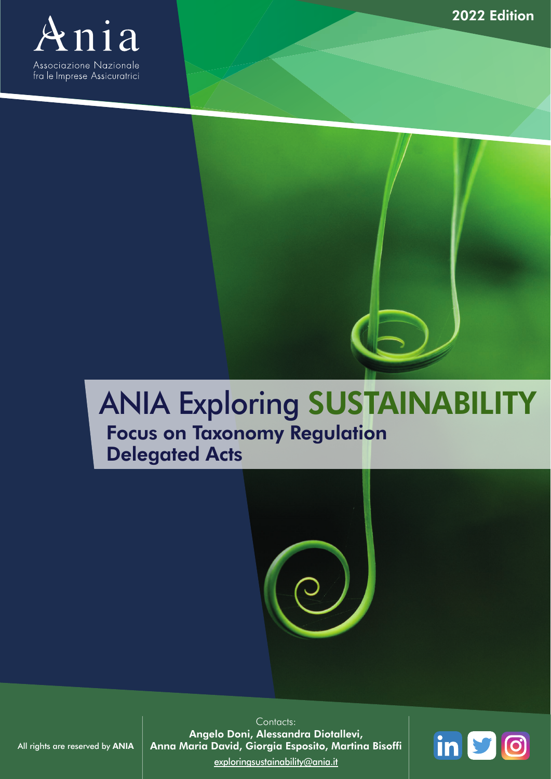

 $\blacksquare$ 



# ANIA Exploring SUSTAINABILITY

#### Focus on Taxonomy Regulation Delegated Acts



Contacts: Angelo Doni, Alessandra Diotallevi, Anna Maria David, Giorgia Esposito, Martina Bisoffi [exploringsustainability@ania.it](mailto:exploringsustainability%40ania.it?subject=)



All rights are reserved by ANIA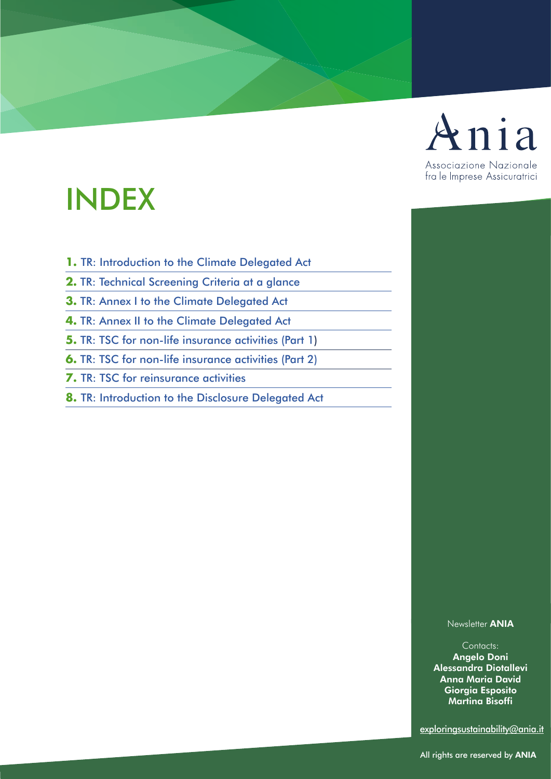

#### 3 **BACK TO THE INDEX** 3 **BACK TO THE INDEX** INDEX

- <span id="page-1-0"></span>**1.** [TR: Introduction to the Climate Delegated Act](#page-3-0)
- **2.** [TR: Technical Screening Criteria at a glance](#page-4-0)
- **3.** [TR: Annex I to the Climate Delegated Act](#page-5-0)
- **4.** [TR: Annex II to the Climate Delegated Act](#page-6-0)
- **5.** [TR: TSC for non-life insurance activities \(Part 1\)](#page-7-0)
- **6.** [TR: TSC for non-life insurance activities \(Part 2\)](#page-8-0)
- **7.** [TR: TSC for reinsurance activities](#page-9-0)
- **8.** [TR: Introduction to the Disclosure Delegated Act](#page-10-0)

Newsletter ANIA

Contacts: Angelo Doni Alessandra Diotallevi Anna Maria David Giorgia Esposito Martina Bisoffi

[exploringsustainability@ania.it](mailto:exploringsustainability%40ania.it?subject=)

All rights are reserved by ANIA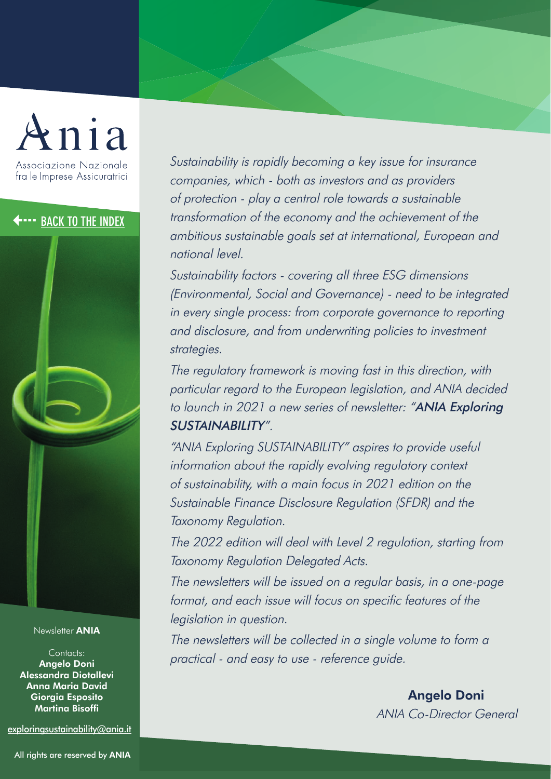# Associazione Nazionale fra le Imprese Assicuratrici

Newsletter ANIA

Contacts: Angelo Doni Alessandra Diotallevi Anna Maria David Giorgia Esposito Martina Bisoffi

[exploringsustainability@ania.it](mailto:exploringsustainability%40ania.it?subject=)

**4....** [BACK TO THE INDEX](#page-1-0) transformation of the economy and the achievement of the exercise of the transformation of the economy and the achievement of the exercise of the transformational European and Sustainability is rapidly becoming a key issue for insurance companies, which - both as investors and as providers of protection - play a central role towards a sustainable ambitious sustainable goals set at international, European and national level.

> Sustainability factors - covering all three ESG dimensions (Environmental, Social and Governance) - need to be integrated in every single process: from corporate governance to reporting and disclosure, and from underwriting policies to investment strategies.

> The regulatory framework is moving fast in this direction, with particular regard to the European legislation, and ANIA decided to launch in 2021 a new series of newsletter: "ANIA Exploring SUSTAINABILITY".

"ANIA Exploring SUSTAINABILITY" aspires to provide useful information about the rapidly evolving regulatory context of sustainability, with a main focus in 2021 edition on the Sustainable Finance Disclosure Regulation (SFDR) and the Taxonomy Regulation.

The 2022 edition will deal with Level 2 regulation, starting from Taxonomy Regulation Delegated Acts.

The newsletters will be issued on a regular basis, in a one-page format, and each issue will focus on specific features of the legislation in question.

The newsletters will be collected in a single volume to form a practical - and easy to use - reference guide.

> Angelo Doni ANIA Co-Director General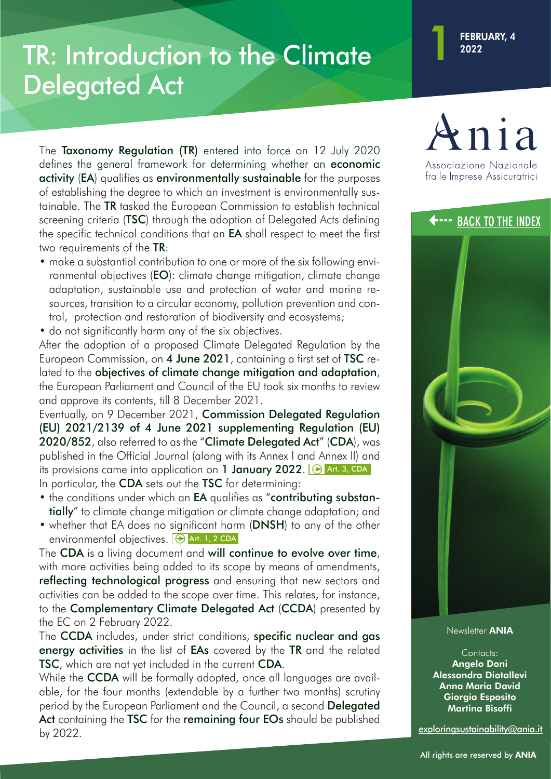# <span id="page-3-0"></span>TR: Introduction to the Climate 1 1 2022 Delegated Act

screening criteria (TSC) through the adoption of Delegated Acts defining<br>[3](#page-1-0) screening criteria (TSC) through the adoption of Delegated Acts defining<br>3 the specific technical conditions that an **EA** shall respect to meet the The Taxonomy Regulation (TR) entered into force on 12 July 2020 defines the general framework for determining whether an economic activity (EA) qualifies as environmentally sustainable for the purposes of establishing the degree to which an investment is environmentally sustainable. The TR tasked the European Commission to establish technical screening criteria (**TSC**) through the adoption of Delegated Acts defining the specific technical conditions that an **EA** shall respect to meet the first two requirements of the TR:

- make a substantial contribution to one or more of the six following environmental objectives (EO): climate change mitigation, climate change adaptation, sustainable use and protection of water and marine resources, transition to a circular economy, pollution prevention and control, protection and restoration of biodiversity and ecosystems;
- do not significantly harm any of the six objectives.

After the adoption of a proposed Climate Delegated Regulation by the European Commission, on 4 June 2021, containing a first set of TSC related to the objectives of climate change mitigation and adaptation, the European Parliament and Council of the EU took six months to review and approve its contents, till 8 December 2021.

Eventually, on 9 December 2021, Commission Delegated Regulation (EU) 2021/2139 of 4 June 2021 supplementing Regulation (EU) 2020/852, also referred to as the "Climate Delegated Act" (CDA), was published in the Official Journal (along with its Annex I and Annex II) and its provisions came into application on 1 January 2022.  $\Theta$  Art. 3, CDA In particular, the **CDA** sets out the **TSC** for determining:

- the conditions under which an **EA** qualifies as "contributing substantially" to climate change mitigation or climate change adaptation; and
- whether that EA does no significant harm (DNSH) to any of the other environmental objectives.  $\Theta$  Art. 1, 2 CDA

The CDA is a living document and will continue to evolve over time, with more activities being added to its scope by means of amendments, reflecting technological progress and ensuring that new sectors and activities can be added to the scope over time. This relates, for instance, to the Complementary Climate Delegated Act (CCDA) presented by the EC on 2 February 2022.

The **CCDA** includes, under strict conditions, specific nuclear and gas energy activities in the list of EAs covered by the TR and the related TSC, which are not yet included in the current CDA.

While the **CCDA** will be formally adopted, once all languages are available, for the four months (extendable by a further two months) scrutiny period by the European Parliament and the Council, a second Delegated Act containing the TSC for the remaining four EOs should be published by 2022.





Newsletter ANIA

Contacts: Angelo Doni Alessandra Diotallevi Anna Maria David Giorgia Esposito Martina Bisoffi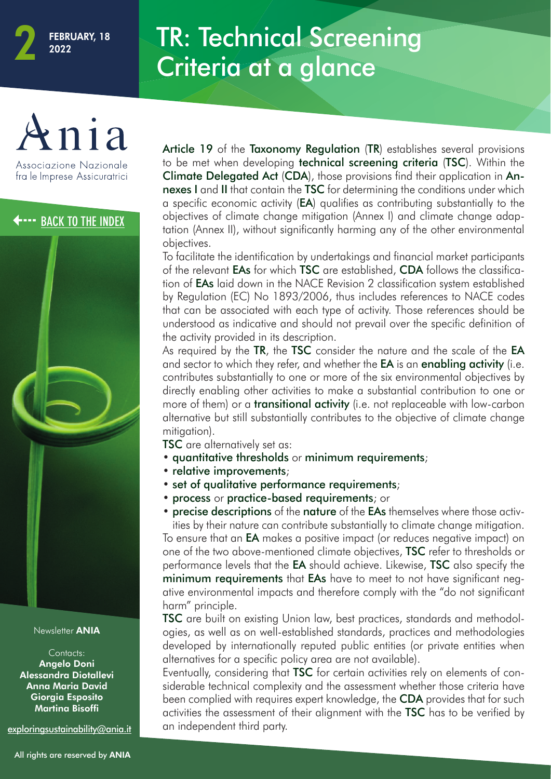### TR: Technical Screening Criteria at a glance

Associazione Nazionale fra le Imprese Assicuratrici



#### Newsletter ANIA

Contacts: Angelo Doni Alessandra Diotallevi Anna Maria David Giorgia Esposito Martina Bisoffi

[exploringsustainability@ania.it](mailto:exploringsustainability%40ania.it?subject=)

<span id="page-4-0"></span>**[3](#page-1-0) A [BACK TO THE INDEX](#page-1-0)** Suppositives of climate change mitigation (Annex I) and climate change adaptation (Annex II), without significantly harming any of the other environmental Article 19 of the Taxonomy Regulation (TR) establishes several provisions to be met when developing technical screening criteria (TSC). Within the Climate Delegated Act (CDA), those provisions find their application in Annexes I and II that contain the TSC for determining the conditions under which a specific economic activity (EA) qualifies as contributing substantially to the tation (Annex II), without significantly harming any of the other environmental objectives.

> To facilitate the identification by undertakings and financial market participants of the relevant EAs for which TSC are established, CDA follows the classification of EAs laid down in the NACE Revision 2 classification system established by Regulation (EC) No 1893/2006, thus includes references to NACE codes that can be associated with each type of activity. Those references should be understood as indicative and should not prevail over the specific definition of the activity provided in its description.

> As required by the TR, the TSC consider the nature and the scale of the EA and sector to which they refer, and whether the **EA** is an **enabling activity** (i.e. contributes substantially to one or more of the six environmental objectives by directly enabling other activities to make a substantial contribution to one or more of them) or a **transitional activity** (i.e. not replaceable with low-carbon alternative but still substantially contributes to the objective of climate change mitigation).

**TSC** are alternatively set as:

- quantitative thresholds or minimum requirements;
- relative improvements;
- set of qualitative performance requirements;
- process or practice-based requirements; or

• precise descriptions of the nature of the EAs themselves where those activities by their nature can contribute substantially to climate change mitigation.

To ensure that an EA makes a positive impact (or reduces negative impact) on one of the two above-mentioned climate objectives, **TSC** refer to thresholds or performance levels that the **EA** should achieve. Likewise, **TSC** also specify the minimum requirements that EAs have to meet to not have significant negative environmental impacts and therefore comply with the "do not significant harm" principle.

TSC are built on existing Union law, best practices, standards and methodologies, as well as on well-established standards, practices and methodologies developed by internationally reputed public entities (or private entities when alternatives for a specific policy area are not available).

Eventually, considering that TSC for certain activities rely on elements of considerable technical complexity and the assessment whether those criteria have been complied with requires expert knowledge, the **CDA** provides that for such activities the assessment of their alignment with the TSC has to be verified by an independent third party.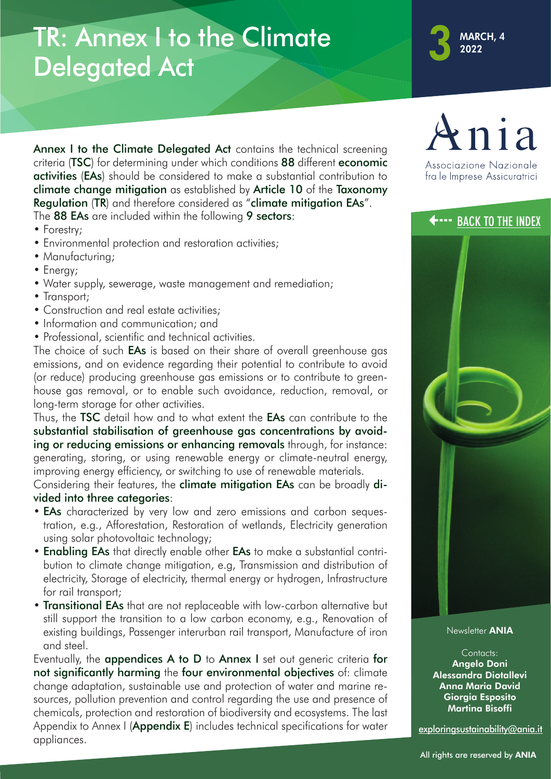### <span id="page-5-0"></span>TR: Annex I to the Climate Delegated Act



The 88 EAs are included within the following 9 sectors:<br>• Forestry; Annex I to the Climate Delegated Act contains the technical screening criteria (TSC) for determining under which conditions 88 different economic activities (EAs) should be considered to make a substantial contribution to climate change mitigation as established by Article 10 of the Taxonomy Regulation (TR) and therefore considered as "climate mitigation EAs". The 88 EAs are included within the following 9 sectors:

- Forestry;
- Environmental protection and restoration activities;
- Manufacturing;
- Energy;
- Water supply, sewerage, waste management and remediation;
- Transport:
- Construction and real estate activities;
- Information and communication: and
- Professional, scientific and technical activities.

The choice of such **EAs** is based on their share of overall greenhouse gas emissions, and on evidence regarding their potential to contribute to avoid (or reduce) producing greenhouse gas emissions or to contribute to greenhouse gas removal, or to enable such avoidance, reduction, removal, or long-term storage for other activities.

Thus, the TSC detail how and to what extent the EAs can contribute to the substantial stabilisation of greenhouse gas concentrations by avoiding or reducing emissions or enhancing removals through, for instance: generating, storing, or using renewable energy or climate-neutral energy, improving energy efficiency, or switching to use of renewable materials.

Considering their features, the climate mitigation EAs can be broadly divided into three categories:

- **EAs** characterized by very low and zero emissions and carbon sequestration, e.g., Afforestation, Restoration of wetlands, Electricity generation using solar photovoltaic technology;
- Enabling EAs that directly enable other EAs to make a substantial contribution to climate change mitigation, e.g, Transmission and distribution of electricity, Storage of electricity, thermal energy or hydrogen, Infrastructure for rail transport;
- Transitional EAs that are not replaceable with low-carbon alternative but still support the transition to a low carbon economy, e.g., Renovation of existing buildings, Passenger interurban rail transport, Manufacture of iron and steel.

Eventually, the appendices A to D to Annex I set out generic criteria for not significantly harming the four environmental objectives of: climate change adaptation, sustainable use and protection of water and marine resources, pollution prevention and control regarding the use and presence of chemicals, protection and restoration of biodiversity and ecosystems. The last Appendix to Annex I (**Appendix E**) includes technical specifications for water appliances.





Newsletter **ANIA** 

Contacts: Angelo Doni Alessandra Diotallevi Anna Maria David Giorgia Esposito Martina Bisoffi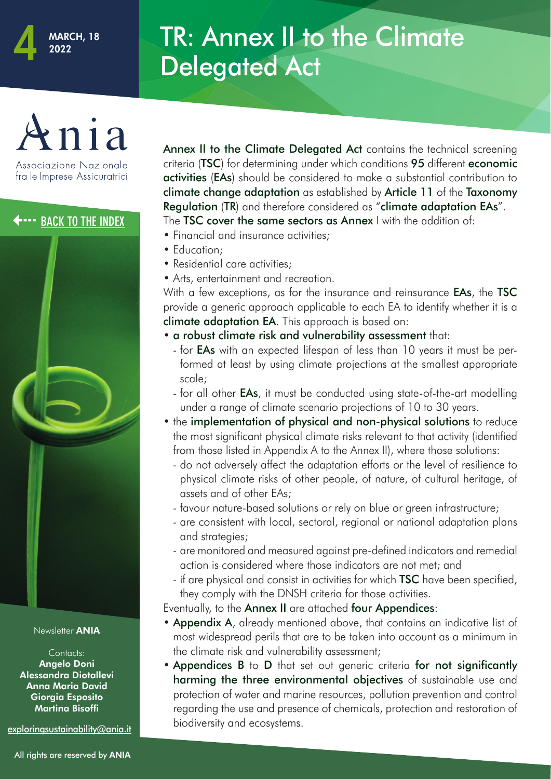## TR: Annex II to the Climate Delegated Act

#### Associazione Nazionale fra le Imprese Assicuratrici



Newsletter **ANIA** 

Contacts: Angelo Doni Alessandra Diotallevi Anna Maria David Giorgia Esposito Martina Bisoffi

[exploringsustainability@ania.it](mailto:exploringsustainability%40ania.it?subject=)

<span id="page-6-0"></span>**Example [3](#page-1-0) Ack To THE INDEX** The **TSC cover the same sectors as Annex** I with the addition of:<br>• Financial and insurance activities criteria (TSC) for determining under which conditions 95 different economic activities (EAs) should be considered to make a substantial contribution to climate change adaptation as established by Article 11 of the Taxonomy Regulation (TR) and therefore considered as "climate adaptation EAs". The **TSC cover the same sectors as Annex** I with the addition of: • Financial and insurance activities;

- Education:
- Residential care activities;
- Arts, entertainment and recreation.

With a few exceptions, as for the insurance and reinsurance **EAs**, the TSC provide a generic approach applicable to each EA to identify whether it is a climate adaptation EA. This approach is based on:

Annex II to the Climate Delegated Act contains the technical screening

- a robust climate risk and vulnerability assessment that:
	- for **EAs** with an expected lifespan of less than 10 years it must be performed at least by using climate projections at the smallest appropriate scale;
	- for all other **EAs**, it must be conducted using state-of-the-art modelling under a range of climate scenario projections of 10 to 30 years.
- the implementation of physical and non-physical solutions to reduce the most significant physical climate risks relevant to that activity (identified from those listed in Appendix A to the Annex II), where those solutions:
	- do not adversely affect the adaptation efforts or the level of resilience to physical climate risks of other people, of nature, of cultural heritage, of assets and of other EAs;
	- favour nature-based solutions or rely on blue or green infrastructure;
	- are consistent with local, sectoral, regional or national adaptation plans and strategies;
	- are monitored and measured against pre-defined indicators and remedial action is considered where those indicators are not met; and
	- if are physical and consist in activities for which **TSC** have been specified, they comply with the DNSH criteria for those activities.

Eventually, to the Annex II are attached four Appendices:

- Appendix A, already mentioned above, that contains an indicative list of most widespread perils that are to be taken into account as a minimum in the climate risk and vulnerability assessment;
- Appendices B to D that set out generic criteria for not significantly harming the three environmental objectives of sustainable use and protection of water and marine resources, pollution prevention and control regarding the use and presence of chemicals, protection and restoration of biodiversity and ecosystems.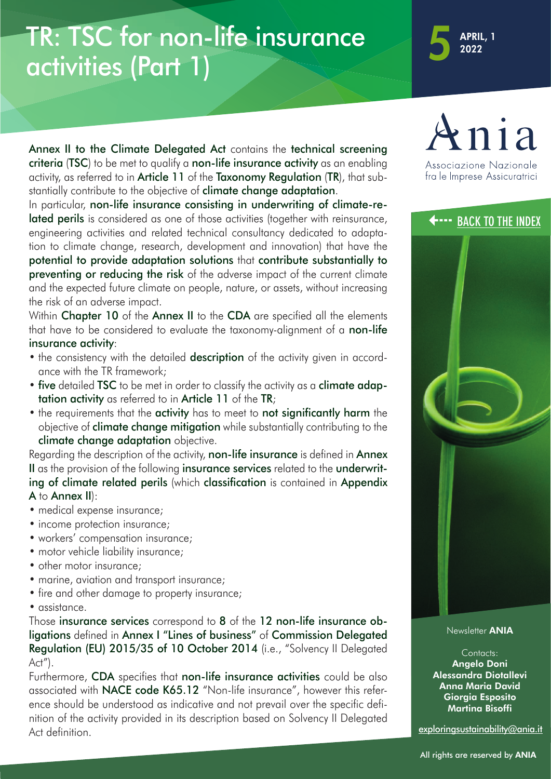## <span id="page-7-0"></span>TR: TSC for non-life insurance activities (Part 1)

**APRIL, 1**<br>2022

Annex II to the Climate Delegated Act contains the technical screening criteria (TSC) to be met to qualify a non-life insurance activity as an enabling activity, as referred to in Article 11 of the Taxonomy Regulation (TR), that substantially contribute to the objective of **climate change adaptation**.

In particular, non-the insurance consisting in underwrinning or citinate-re-<br>
lated perils is considered as one of those activities (together with reinsurance,<br>
engineering activities and related technical consultancy dedi In particular, non-life insurance consisting in underwriting of climate-reengineering activities and related technical consultancy dedicated to adaptation to climate change, research, development and innovation) that have the potential to provide adaptation solutions that contribute substantially to preventing or reducing the risk of the adverse impact of the current climate and the expected future climate on people, nature, or assets, without increasing the risk of an adverse impact.

> Within Chapter 10 of the Annex II to the CDA are specified all the elements that have to be considered to evaluate the taxonomy-alignment of a **non-life** insurance activity:

- the consistency with the detailed **description** of the activity given in accordance with the TR framework;
- five detailed TSC to be met in order to classify the activity as a climate adaptation activity as referred to in Article 11 of the TR;
- the requirements that the activity has to meet to not significantly harm the objective of **climate change mitigation** while substantially contributing to the climate change adaptation objective.

Regarding the description of the activity, non-life insurance is defined in Annex II as the provision of the following insurance services related to the underwriting of climate related perils (which classification is contained in Appendix A to Annex II):

- medical expense insurance;
- income protection insurance;
- workers' compensation insurance;
- motor vehicle liability insurance;
- other motor insurance:
- marine, aviation and transport insurance;
- fire and other damage to property insurance;
- assistance.

Those insurance services correspond to 8 of the 12 non-life insurance obligations defined in Annex I "Lines of business" of Commission Delegated Regulation (EU) 2015/35 of 10 October 2014 (i.e., "Solvency II Delegated Act").

Furthermore, CDA specifies that non-life insurance activities could be also associated with NACE code K65.12 "Non-life insurance", however this reference should be understood as indicative and not prevail over the specific definition of the activity provided in its description based on Solvency II Delegated Act definition.



fra le Imprese Assicuratrici



Newsletter **ANIA** 

Contacts: Angelo Doni Alessandra Diotallevi Anna Maria David Giorgia Esposito Martina Bisoffi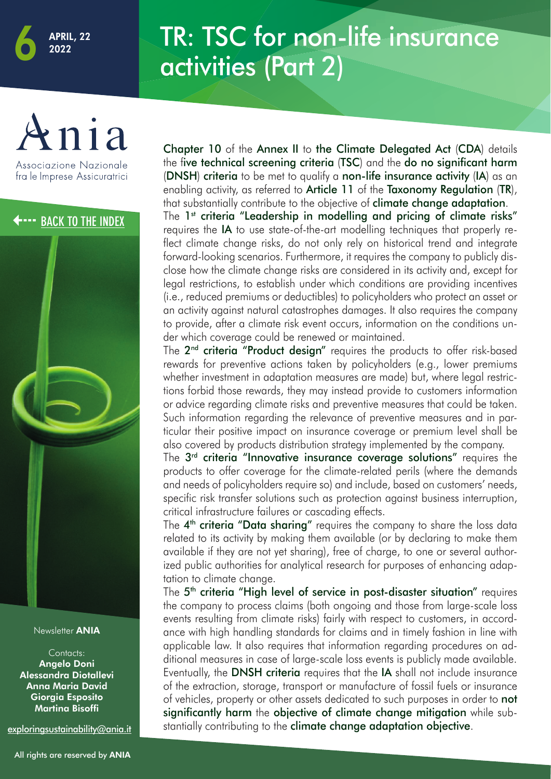## TR: TSC for non-life insurance activities (Part 2)

<span id="page-8-0"></span>

Associazione Nazionale fra le Imprese Assicuratrici



Contacts: Angelo Doni Alessandra Diotallevi Anna Maria David Giorgia Esposito Martina Bisoffi

[exploringsustainability@ania.it](mailto:exploringsustainability%40ania.it?subject=)

Chapter 10 of the Annex II to the Climate Delegated Act (CDA) details the five technical screening criteria (TSC) and the do no significant harm (DNSH) criteria to be met to qualify a non-life insurance activity (IA) as an enabling activity, as referred to **Article 11** of the **Taxonomy Regulation** (TR), that substantially contribute to the objective of **climate change adaptation**.

**[3](#page-1-0) The 1st criteria "Leadership in modelling and pricing of climate risks"**<br>
The 1st criteria "Leadership in modelling and pricing of climate risks"<br>
requires the IA to use state-of-the-art modelling techniques that proper requires the IA to use state-of-the-art modelling techniques that properly reflect climate change risks, do not only rely on historical trend and integrate forward-looking scenarios. Furthermore, it requires the company to publicly disclose how the climate change risks are considered in its activity and, except for legal restrictions, to establish under which conditions are providing incentives (i.e., reduced premiums or deductibles) to policyholders who protect an asset or an activity against natural catastrophes damages. It also requires the company to provide, after a climate risk event occurs, information on the conditions under which coverage could be renewed or maintained.

> The 2<sup>nd</sup> criteria "Product design" requires the products to offer risk-based rewards for preventive actions taken by policyholders (e.g., lower premiums whether investment in adaptation measures are made) but, where legal restrictions forbid those rewards, they may instead provide to customers information or advice regarding climate risks and preventive measures that could be taken. Such information regarding the relevance of preventive measures and in particular their positive impact on insurance coverage or premium level shall be also covered by products distribution strategy implemented by the company.

> The 3<sup>rd</sup> criteria "Innovative insurance coverage solutions" requires the products to offer coverage for the climate-related perils (where the demands and needs of policyholders require so) and include, based on customers' needs, specific risk transfer solutions such as protection against business interruption, critical infrastructure failures or cascading effects.

> The 4<sup>th</sup> criteria "Data sharing" requires the company to share the loss data related to its activity by making them available (or by declaring to make them available if they are not yet sharing), free of charge, to one or several authorized public authorities for analytical research for purposes of enhancing adaptation to climate change.

> The 5<sup>th</sup> criteria "High level of service in post-disaster situation" requires the company to process claims (both ongoing and those from large-scale loss events resulting from climate risks) fairly with respect to customers, in accordance with high handling standards for claims and in timely fashion in line with applicable law. It also requires that information regarding procedures on additional measures in case of large-scale loss events is publicly made available. Eventually, the **DNSH criteria** requires that the **IA** shall not include insurance of the extraction, storage, transport or manufacture of fossil fuels or insurance of vehicles, property or other assets dedicated to such purposes in order to **not** significantly harm the objective of climate change mitigation while substantially contributing to the **climate change adaptation objective**.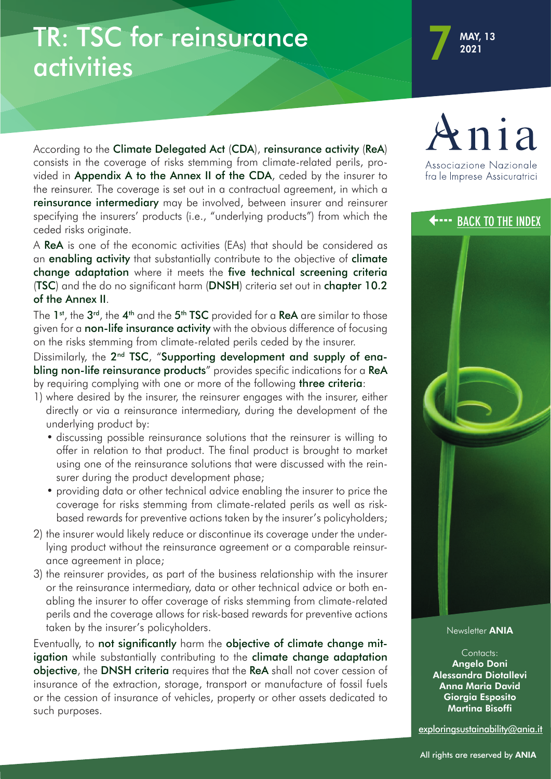### <span id="page-9-0"></span>TR: TSC for reinsurance activities

specifying the insurers' products (i.e., "underlying products") from which the<br>ceded risks originate. According to the Climate Delegated Act (CDA), reinsurance activity (ReA) consists in the coverage of risks stemming from climate-related perils, provided in Appendix A to the Annex II of the CDA, ceded by the insurer to the reinsurer. The coverage is set out in a contractual agreement, in which a reinsurance intermediary may be involved, between insurer and reinsurer ceded risks originate.

> A ReA is one of the economic activities (EAs) that should be considered as an enabling activity that substantially contribute to the objective of climate change adaptation where it meets the five technical screening criteria (TSC) and the do no significant harm (DNSH) criteria set out in chapter 10.2 of the Annex II.

> The 1<sup>st</sup>, the 3<sup>rd</sup>, the 4<sup>th</sup> and the 5<sup>th</sup> TSC provided for a ReA are similar to those given for a **non-life insurance activity** with the obvious difference of focusing on the risks stemming from climate-related perils ceded by the insurer.

> Dissimilarly, the 2<sup>nd</sup> TSC, "Supporting development and supply of enabling non-life reinsurance products" provides specific indications for a ReA by requiring complying with one or more of the following three criteria:

- 1) where desired by the insurer, the reinsurer engages with the insurer, either directly or via a reinsurance intermediary, during the development of the underlying product by:
	- discussing possible reinsurance solutions that the reinsurer is willing to offer in relation to that product. The final product is brought to market using one of the reinsurance solutions that were discussed with the reinsurer during the product development phase;
	- providing data or other technical advice enabling the insurer to price the coverage for risks stemming from climate-related perils as well as riskbased rewards for preventive actions taken by the insurer's policyholders;
- 2) the insurer would likely reduce or discontinue its coverage under the underlying product without the reinsurance agreement or a comparable reinsurance agreement in place;
- 3) the reinsurer provides, as part of the business relationship with the insurer or the reinsurance intermediary, data or other technical advice or both enabling the insurer to offer coverage of risks stemming from climate-related perils and the coverage allows for risk-based rewards for preventive actions taken by the insurer's policyholders.

Eventually, to not significantly harm the objective of climate change mitigation while substantially contributing to the climate change adaptation objective, the DNSH criteria requires that the ReA shall not cover cession of insurance of the extraction, storage, transport or manufacture of fossil fuels or the cession of insurance of vehicles, property or other assets dedicated to such purposes.



fra le Imprese Assicuratrici



Newsletter **ANIA** 

Contacts: Angelo Doni Alessandra Diotallevi Anna Maria David Giorgia Esposito Martina Bisoffi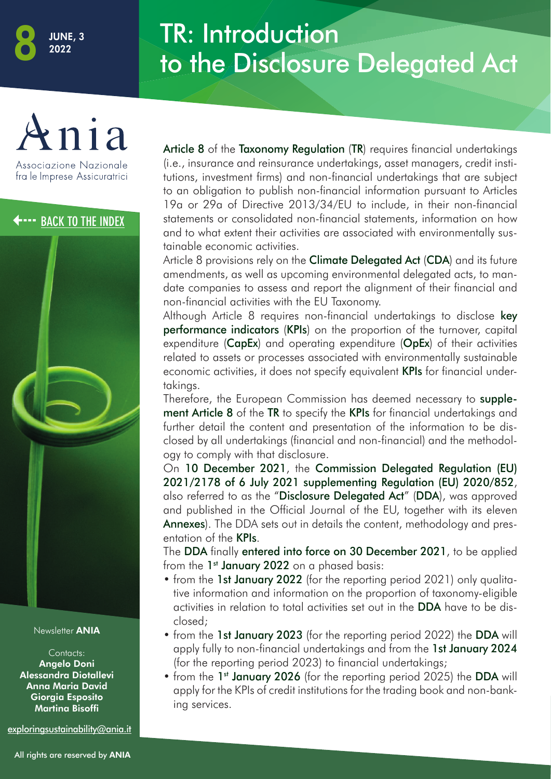#### TR: Introduction to the Disclosure Delegated Act

<span id="page-10-0"></span>

Associazione Nazionale fra le Imprese Assicuratrici

[3](#page-1-0) **[BACK TO THE INDEX](#page-1-0)**



Newsletter ANIA

Contacts: Angelo Doni Alessandra Diotallevi Anna Maria David Giorgia Esposito Martina Bisoffi

[exploringsustainability@ania.it](mailto:exploringsustainability%40ania.it?subject=)

Article 8 of the Taxonomy Regulation (TR) requires financial undertakings (i.e., insurance and reinsurance undertakings, asset managers, credit institutions, investment firms) and non-financial undertakings that are subject to an obligation to publish non-financial information pursuant to Articles 19a or 29a of Directive 2013/34/EU to include, in their non-financial statements or consolidated non-financial statements, information on how and to what extent their activities are associated with environmentally sustainable economic activities.

Article 8 provisions rely on the **Climate Delegated Act (CDA)** and its future amendments, as well as upcoming environmental delegated acts, to mandate companies to assess and report the alignment of their financial and non-financial activities with the EU Taxonomy.

Although Article 8 requires non-financial undertakings to disclose key performance indicators (KPIs) on the proportion of the turnover, capital expenditure (CapEx) and operating expenditure (OpEx) of their activities related to assets or processes associated with environmentally sustainable economic activities, it does not specify equivalent **KPIs** for financial undertakings.

Therefore, the European Commission has deemed necessary to supplement Article 8 of the TR to specify the KPIs for financial undertakings and further detail the content and presentation of the information to be disclosed by all undertakings (financial and non-financial) and the methodology to comply with that disclosure.

On 10 December 2021, the Commission Delegated Regulation (EU) 2021/2178 of 6 July 2021 supplementing Regulation (EU) 2020/852, also referred to as the "Disclosure Delegated Act" (DDA), was approved and published in the Official Journal of the EU, together with its eleven Annexes). The DDA sets out in details the content, methodology and presentation of the KPIs.

The DDA finally entered into force on 30 December 2021, to be applied from the  $1<sup>st</sup>$  January 2022 on a phased basis:

- from the 1st January 2022 (for the reporting period 2021) only qualitative information and information on the proportion of taxonomy-eligible activities in relation to total activities set out in the DDA have to be disclosed;
- from the 1st January 2023 (for the reporting period 2022) the DDA will apply fully to non-financial undertakings and from the 1st January 2024 (for the reporting period 2023) to financial undertakings;
- from the 1<sup>st</sup> January 2026 (for the reporting period 2025) the DDA will apply for the KPIs of credit institutions for the trading book and non-banking services.